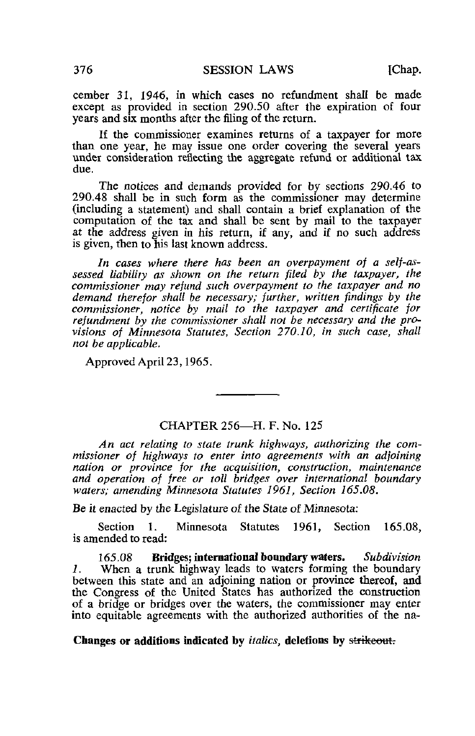cember 31, 1946, in which cases no refundment shall be made except as provided in section 290.50 after the expiration of four years and six months after the filing of the return.

If the commissioner examines returns of a taxpayer for more than one year, he may issue one order covering the several years under consideration reflecting the aggregate refund or additional tax due.

The notices and demands provided for by sections 290.46 to 290.48 shall be in such form as the commissioner may determine (including a statement) and shall contain a brief explanation of the computation of the tax and shall be sent by mail to the taxpayer at the address given in his return, if any, and if no such address is given, then to his last known address.

In cases where there has been an overpayment of a self-assessed liability as shown on the return filed by the taxpayer, the commissioner may refund such overpayment to the taxpayer and no demand therefor shall be necessary; further, written findings by the commissioner, notice by mail to the taxpayer and certificate for refundment by the commissioner shall not be necessary and the provisions of Minnesota Statutes, Section 270.10, in such case, shall not be applicable.

Approved April 23,1965.

## CHAPTER 256—H. F. No. 125

An act relating to state trunk highways, authorizing the commissioner of highways to enter into agreements with an adjoining nation or province for the acquisition, construction, maintenance and operation of free or toll bridges over international boundary waters; amending Minnesota Statutes 1961, Section 165.08.

Be it enacted by the Legislature of the State of Minnesota:

Section 1. Minnesota Statutes 1961, Section 165.08, is amended to read:

165.08 Bridges; international boundary waters. Subdivision 1. When a trunk highway leads to waters forming the boundary between this state and an adjoining nation or province thereof, and the Congress of the United States has authorized the construction of a bridge or bridges over the waters, the commissioner may enter into equitable agreements with the authorized authorities of the na-

## Changes or additions indicated by *italics*, deletions by strikeout.